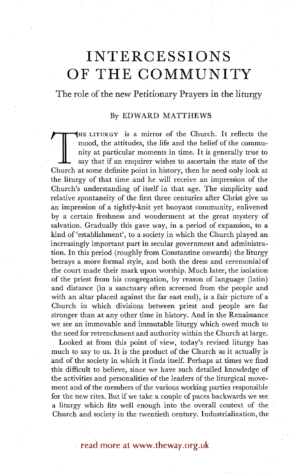# **INTERCESSIONS OF THE COMMUNITY**

The role of the new Petitionary Prayers in the liturgy

#### By EDWARD MATTHEWS

HE LITURGY is a mirror of the Church. It reflects the mood, the attitudes, the life and the belief of the community at particular moments in time. It is generally true to say that if an enquirer wishes to ascertain the state of the Church at some definite point in history, then he need only look at the liturgy of that time and he will receive an impression of the Church's understanding of itself in that age. The simplicity and relative spontaneity of the first three centuries after Christ give us an impression of a tightly-knit yet buoyant community, enlivened by a certain freshness and wonderment at the great mystery of salvation. Gradually this gave way, in a period of expansion, to a kind of 'establishment', to a society in which the Church played an increasingly important part in secular government and administration. In this period (roughly from Constantine onwards) the liturgy betrays a more formal style, and both the dress and ceremonial of the court made their mark upon worship. Much later, the isolation of the priest from his congregation, by reason of language (latin) and distance (in a sanctuary often screened from the people and with an altar placed against the far east end), is a fair picture of a Church in which divisions between priest and people are far stronger than at any other time in history. And in the Renaissance we see an immovable and immutable liturgy which owed much to the need for retrenchment and authority within the Church at large.

Looked at from this point of view, today's revised liturgy has much to say to us. It is the product of the Church as it actually is and of the society in which it finds itself. Perhaps at times we find this difficult to believe, since we have such detailed knowledge of the activities and personalities of the leaders of the liturgical movement and of the members of the various working parties responsible for the new rites. But if we take a couple of paces backwards we see a liturgy which fits well enough into the overall context of the Church and society in the twentieth century. Industrialization, the

### read more at www.theway.org.uk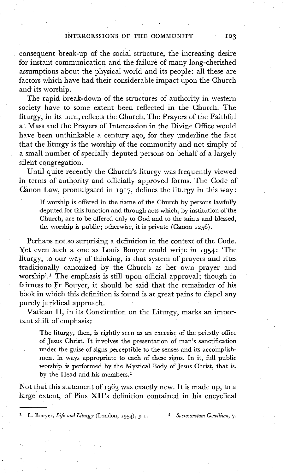consequent break-up of the social structure, the increasing desire for instant communication and the failure of many long-cherished assumptions about the physical world and its people: all these are factors which have had their considerable impact upon the Church and its worship.

The rapid break-down of the structures of authority in western society have to some extent been reflected in the Church. The liturgy, in its turn, reflects the Church. The Prayers of the Faithful at Mass and the Prayers of Intercession in the Divine Office would have been unthinkable a century ago, for they underline the fact that the liturgy is the worship of the community and not simply of a small number of specially deputed persons on behalf of a largely silent congregation.

Until quite recently the Church's liturgy was frequently viewed in terms of authority and officially approved forms. The Code of Canon Law, promulgated in 1917, defines the liturgy in this way:

If worship is offered in the name of the Church by persons lawfully deputed for this function and through acts which, by institution of the Church, are to be offered only to God and to the saints and blessed, the worship is public; otherwise, it is private (Canon 1256).

Perhaps not so surprising a definition in the context of the Code. Yet even such a one as Louis Bouyer could write in 1954: 'The liturgy, to our way of thinking, is that system of prayers and rites traditionally canonized by the Church as her own prayer and worship'.<sup>1</sup> The emphasis is still upon official approval; though in fairness to Fr Bouyer, it should be said that the remainder of his book in which this definition is found is at great pains to dispel any purely juridical approach.

Vatican II, in its Constitution on the Liturgy, marks an important shift of emphasis:

The liturgy, then, is rightly seen as an exercise of the priestly office of Jesus Christ. It involves the presentation of man's sanctification under the guise of signs perceptible to the senses and its accomplishment in ways appropriate to each of these signs. In it, full public worship is performed by the Mystical Body of Jesus Christ, that is, by the Head and his members.<sup>2</sup>

Not that this statement of 1963 was exactly new. It is made up, to a large extent, of Pius XII's definition contained in his encyclical

1 L. Bouyer, *Life andLiturgy* (London, I954) , p I. 2 *Sacrosanaum ConciIium, 7.*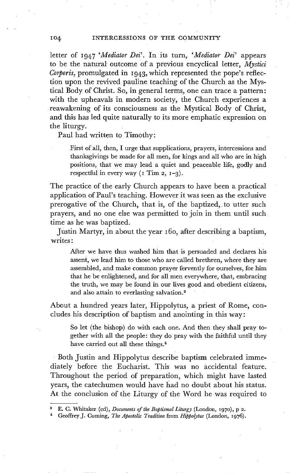letter of 1947 *'Mediator Dei'.* In its turn, *'Mediator Dei'* appears to be the natural' outcome of a previous encyclical letter, *Mystici Corporis,* promulgated in 1943, which represented the pope's reflection upon the revived pauline teaching of the Church as the Mystical Body of Christ. So, in general terms, one can trace a pattern: with the upheavals in modern society, the Church experiences a reawakening of its consciousness as the Mystical Body of Christ, and this has led quite naturally to its more emphatic expression on the liturgy.

Paul had written to Timothy:

First of all, then, I urge that supplications, prayers, intercessions and thanksgivings be made for all men, for kings and all who are in high positions, that we may lead a quiet and peaceable life, godly and respectful in every way  $(1 \text{ Tim } 2, 1-3)$ .

The practice of the early Church appears to have been a practical application of Paul's teaching. However it was seen as the exclusive prerogative of the Church, that is, of the baptized, to utter such prayers, and no one else was permitted to join in them until such time as he was baptized.

Justin Martyr, in about the year 160, after describing a baptism, writes:

After we have thus washed him that is persuaded and declares his assent, we lead him to those who are called brethren, where they are assembled, and make common prayer fervently for ourselves, for him that he be enlightened, and for all men everywhere, that, embracing the truth, we may be found in our lives good and obedient citizens, and also attain to everlasting salvation.<sup>3</sup>

About a hundred years later, Hippolytus, a priest of Rome, concludes his description of baptism and anointing in this way:

So let (the bishop) do with each one. And then they shall pray together with all the people: they do pray with the faithful until they have carried out all these things.<sup>4</sup>

Both Justin and Hippolytus describe baptism celebrated immediately before the Eucharist. This was no accidental feature. Throughout the period of preparation, which might have lasted years, the catechumen would have had no doubt about his status. At the conclusion of the Liturgy of the Word he was required to

a E.C. Whitaker (ed), *Documents of the Baptismal Liturgy* (London, I97O), p 2.

<sup>&</sup>lt;sup>4</sup> Geoffrey J. Cuming, *The Apostolic Tradition* from *Hippolytus* (London, 1976).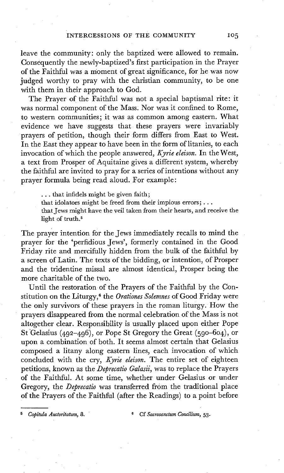leave the community: only the baptized were allowed to remain. Consequently the newly-baptized's first participation in the Prayer of the Faithful was a moment of great significance, for he was now judged worthy to pray with the christian community, to be one with them in their approach to God.

The Prayer of the Faithful was not a special baptismal rite: it was normal component of the Mass; Nor was it confined to Rome, to western communities; it was as common among eastern. What evidence we have suggests that these prayers were invariably prayers of petition, though their form differs from East to West. In the East they appear to have been in the form of litanies, to each invocation of which the people answered, *Kyrie eleison.* In the West, a text from Prosper of Aquitaine gives a different system, whereby the faithful are invited to pray for a series of intentions without any prayer formula being read aloud. For example:

... that infidels might be given faith;

that idolators might be freed from their impious errors;...

that Jews might have the veil taken from their hearts, and receive the light of truth.<sup>5</sup>

The prayer intention for the Jews immediately recalls to mind the prayer for the 'perfidious Jews', formerly contained in the Good Friday rite and mercifully hidden from the bulk of the faithful by a screen of Latin. The texts of the bidding, or intention, of Prosper and the tridentine missal are almost identical, Prosper being the more charitable of the two.

Until the restoration of the Prayers of the Faithful by the Constitution on the Liturgy, 6 the *Orationes Solemnes* of Good Friday were the only survivors of these prayers in the roman liturgy. How the prayers disappeared from the normal celebration of the Mass is not altogether clear. Responsibility is usually placed upon either Pope St 'Gelasius (492-496), or Pope St Gregory the Great (59o-6o4), or upon a combination of both. It seems almost certain that Gelasius composed a litany along eastern lines, each invocation of which concluded with the cry, Kyrie eleison. The entire set of eighteen petitions, known as the *Deprecatio Galasii,* was to replace the Prayers of the Faithful At some time, whether under Gelasius or under Gregory, the *Deprecatio* was transferred from the traditional place of the Prayers of the Faithful (after the Readings) to a point before

*Capitula Auctoritatum, 8.* 6 Cf Sacrosanctum Concilium, 53.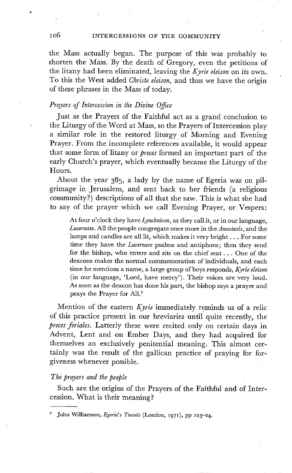#### I06 . INTERCESSIONS OF THE COMMUNITY

the Mass actually began. The purpose of this was probably to shorten the Mass. By the death of Gregory, even the petitions of the lita'ny had been eliminated, leaving the *Kyrie eleison* on its own. To this the West added *Christe eleison,* and thus we have the origin of these phrases in the Mass of today;

#### *Prayers of Intercession in the Divine Offee*

Just as the Prayers of the Faithful act as a grand conclusion to the Liturgy of the Word at Mass, so the Prayers of Intercession play a similar role in the restored liturgy of Morning and Evening Prayer. From the incomplete references available, it would appear that some form of litany or *preces* formed an important part of the early Church's prayer, which eventually became the Liturgy of the Hours.

About the year 385, a lady by the name of Egeria was on pilgrimage in Jerusalem, and sent back to her friends (a religious community?) descriptions of all that she saw. This is what she had to say of the prayer which we call Evening Prayer, or Vespers:

At four o'clock they have *Lynchnicon,* as they call it, or in our language, *Lucernare.* All the people congregate once more in the *Anastasis,* and the lamps and candles are all lit, which makes it very bright... For some time they have the *Lucernare* Psalms and antiphons; then they send for the bishop, who enters and sits on the chief seat... One of the deacons makes the normal commemoration of individuals, and each time he mentions a name, a large group of boys responds, *Kyrie eleison*  (in our language, 'Lord, have mercy'). Their voices are very loud. As soon as the deacon has done his part, the bishop says a prayer and prays the Prayer for All.<sup>7</sup>

Mention of the eastern *Kyrie* immediately reminds us of a relic of this practice present in our breviaries until quite recently, the *preces feriales.* Latterly these were recited only on certain days in Advent, Lent and on Ember Days, and they had acquired for themselves an exclusively penitential meaning. This almost certainly was the result of the gallican practice of praying for forgiveness whenever possible.

#### *The prayers and the people*

Such are the origins of the Prayers of the Faithful and of Intercession. What is their meaning?

John Williamson, *Egeria's Travels* (London, 1971), pp 123-24.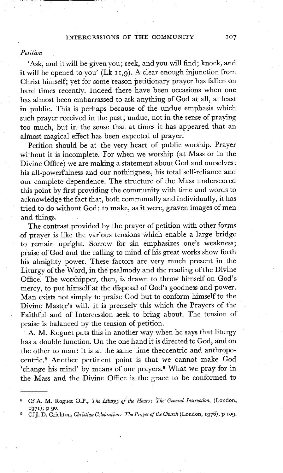#### INTERCESSIONS OF THE COMMUNITY 107

#### *Petition*

'Ask, and it will be given you; seek, and you will find; knock, and it will be opened to you' (Lk 11,9). A clear enough injunction from Christ himself; yet for some reason petitionary prayer has fallen on hard times recently. Indeed there have been occasions when one has almost been embarrassed to ask anything of God at all, at least in public. This is perhaps because of the undue emphasis which such prayer received in the past; undue, not in the sense of praying too much, but in the sense that at times it has appeared that an almost magical effect has been expected of prayer.

Petition should be at the very heart of public worship. Prayer without it is incomplete. For when we worship (at Mass or in the Divine Office) we are making a statement about God and ourselves: his all-powerfulness and our nothingness, his total self-reliance and our complete dependence. The structure of the Mass underscored this point by first providing the community with time and words to acknowledge the fact that, both communally and individually, it has tried to do without God: to make, as it were, graven images of men and things.

The contrast provided by the prayer of petition with other forms of prayer is like the various tensions Which enable a large bridge to remain upright. Sorrow for sin emphasizes one's weakness; praise of God and the calling to mind of his great works show forth his almighty power. These factors are very much present in the Liturgy of the Word, in the psalmody and the reading of the Divine Office. The worshipper, then, is drawn to throw himself on God's mercy, to put himself at the disposal of God's goodness and power. Man exists not simply to praise God but to conform himself to the Divine Master's will. It is precisely this which the Prayers of the Faithful and of Intercession seek to bring about. The tension of praise is balanced by the tension of petition.

A. M. Roguet puts this in another way when he says that liturgy has a double function. On the one hand it is directed to God, and on the other to man: it is at the same time theocentric and anthropocentric. 8 Another pertinent point is that we cannot make God 'change his mind' by means of our prayers. 9 What we pray for in the Mass and the Divine Office is the grace to be conformed to

<sup>8</sup> CA" A. M. Roguet O.P., *The Liturgy of the Hours: The General Instruction,* (London, 1971); p 90.

CfJ. D. Crichton, *Christian Celebration: The Prayer of the Church* (London, 1976), p 109.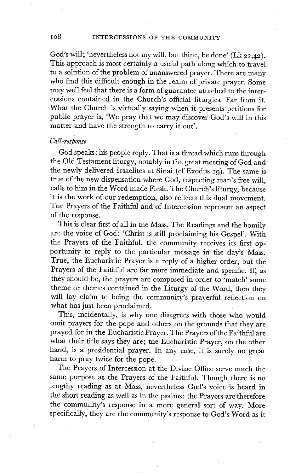God's will; 'nevertheless not my will, but thine, be done' (Lk 22,42). This approach is most certainly a useful path along which to travel to a solution of the problem of unanswered prayer. There are many who find this difficult enough in the realm of private prayer. Some may well feel that there is a form of guarantee attached to the intercessions contained in the Church's official liturgies. Far from it. What the Church is virtually saying when it presents petitions for public prayer is, 'We pray that we may discover God's will in this matter and have the strength to carry it out'.

#### *Call-response*

God speaks: his people reply. That is a thread which runs through the Old Testament liturgy, notably in the great meeting of God and the newly delivered Irsaelites at Sinai (cf Exodus 19). The same is true of the new dispensation where God, respecting man's free will, calls to him in the Word made Flesh. The Church's liturgy, because it is the work of our redemption, also reflects this dual movement. The Prayers of the Faithful and of Intercession represent an aspect of the response.

This is clear first of all in the Mass. The Readings and the homily are the voice of God: 'Christ is still proclaiming his Gospel'. With the Prayers of the Faithful, the community receives its first opportunity to reply to the particular message in the day's Mass. True, the Eucharistic Prayer is a reply of a higher order, but the Prayers of the Faithful are far more immediate and specific. If, as they should be, the prayers are composed in order to 'match' some theme or themes contained in the Liturgy of the Word, then they will lay claim to being the community's prayerful reflection on what has just been proclaimed.

This, incidentally, is why one disagrees with those who would omit prayers for the pope and others on the grounds that they are prayed for in the Eucharistic Prayer. The Prayers of the Faithful are what their title says they are; the Eucharistic Prayer, on the other hand, is a presidential prayer. In any case, it is surely no great harm to pray twice for the pope.

The Prayers of Intercession at the Divine Office serve much the same purpose as the Prayers of the Faithful. Though there is no lengthy reading as at Mass, nevertheless God's voice is heard in the short reading as well as in the psalms: the Prayers are therefore the community's response in a more general sort of way. More specifically, they are the community's response to God's Word as it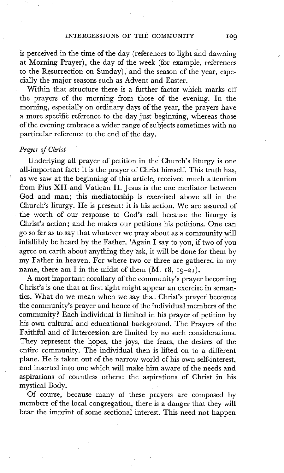is perceived in the time of the day (references to light and dawning at Morning Prayer), the day of the week (for example, references to the Resurrection on Sunday), and the season of the year, especially the major seasons such as Advent and Easter.

Within that structure there is a further factor which marks off the prayers of the morning from those of the evening. In the morning, especially on ordinary days of the year, the prayers have a more specific reference to the day just beginning, whereas those of the evening embrace a wider range of subjects sometimes with no particular reference to the end of the day.

#### *Prayer of Christ*

Underlying all prayer of petition in the Church's liturgy is one all-important fact: it is the prayer of Christ himself. This truth has, as we saw at the beginning of this article, received much attention from Pius XII and Vatican II. Jesus is the one mediator between God and man; this mediatorship is exercised above all in the Church's liturgy. He is present: it is his action. We are assured of the worth of our response to God's call because the liturgy is Christ's action; and he makes our petitions his petitions. One can go so far as tosay that whatever we pray about as a community will infallibly be heard by the Father. 'Again I say to you, if two of you agree on earth about anything they ask, it will be done for them by my Father in heaven. For where two or three are gathered in my name, there am I in the midst of them  $(Mt 18, 19-21)$ .

A most important corollary of the community's prayer becoming Christ's is one that at first sight might appear an exercise in semantics. What do we mean when we say that Christ's prayer becomes the community's prayer and hence of the individual members of the community? Each individual is limited in his prayer of petition by his own cultural and educational background. The Prayers of the Faithful and of Intercession are limited by no such considerations. They represent the hopes, the joys, the fears, the desires of the entire community. The individual then is lifted on to a different plane. He is taken out of the narrow world of his own self-interest, and inserted into one which will make him aware of the needs and aspirations of countless others: the aspirations of Christ in his mystical Body.

Of course, because many of these prayers are composed by members of the local congregation, there is a danger that they will bear the imprint of some sectional interest. This need not happen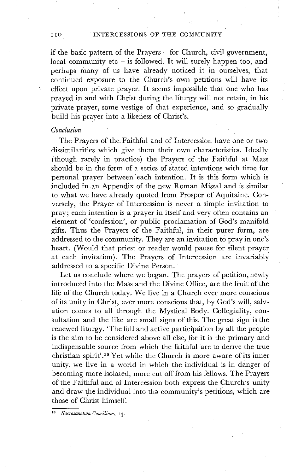if the basic pattern of the Prayers - for Church, civil government, local community etc - is followed. It will surely happen too, and perhaps many of us have already noticed it in ourselves, that continued exposure to the Church's own petitions will have its effect upon private prayer. It seems impossible that one who has prayed in and with Christ during the liturgy will not retain, in his private prayer, some vestige of that experience, and so gradually build his prayer into a likeness of Christ's.

#### *Conclusion*

The Prayers of the Faithful and of Intercession have one or two dissimilarities which give them their own characteristics. Ideally (though rarely in practice) the Prayers of the Faithful at Mass should be in the form of a series of stated intentions with time for personal prayer between each intention. It is this form which is included in an Appendix of the new Roman Missal and is similar to what we have already quoted from Prosper of Aquitaine. Conversely, the Prayer of Intercession is never a simple invitation to pray; each intention is a prayer in itself and very often contains an element of 'confession', or public proclamation of God's manifold gifts. Thus the Prayers of the Faithful, in their purer form, are addressed to the community. They are an invitation to pray in one's heart. (Would that priest or reader would pause for silent prayer at each invitation). The Prayers of Intercession are invariably addressed to a specific Divine Person. •

Let us conclude where we began. The prayers of petition, newly introduced into the Mass and the Divine Office, are the fruit of the life of the Church today. We live in a Church ever more conscious • of its unity in Christ, ever more conscious that, by God's will, salvation comes to all through the Mystical Body. Collegiality, consultation and the like are small signs of this. The great sign is the renewed liturgy. 'The full and active participation by all the people is the aim to be considered above all else, for it is the primary and indispensable source from which the faithful are to derive the true christian spirit'.<sup>10</sup> Yet while the Church is more aware of its inner unity, we live in a world in which the individual is in danger of becoming more isolated, more cut off from his fellows. The Prayers of the Faithful and of Intercession both express the Church's unity and draw the individual into tha community's petitions, which are those of Christ himself.

 $Sacrosanctum$  *Concilium*, 14.